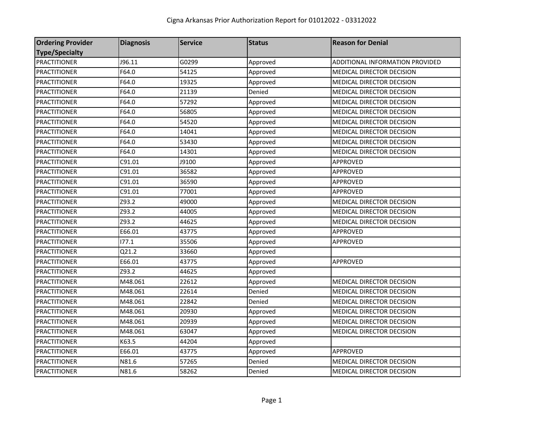| <b>Ordering Provider</b> | <b>Diagnosis</b> | <b>Service</b> | <b>Status</b> | <b>Reason for Denial</b>         |
|--------------------------|------------------|----------------|---------------|----------------------------------|
| <b>Type/Specialty</b>    |                  |                |               |                                  |
| <b>PRACTITIONER</b>      | J96.11           | G0299          | Approved      | ADDITIONAL INFORMATION PROVIDED  |
| <b>PRACTITIONER</b>      | F64.0            | 54125          | Approved      | <b>MEDICAL DIRECTOR DECISION</b> |
| <b>PRACTITIONER</b>      | F64.0            | 19325          | Approved      | MEDICAL DIRECTOR DECISION        |
| <b>PRACTITIONER</b>      | F64.0            | 21139          | Denied        | MEDICAL DIRECTOR DECISION        |
| <b>PRACTITIONER</b>      | F64.0            | 57292          | Approved      | MEDICAL DIRECTOR DECISION        |
| <b>PRACTITIONER</b>      | F64.0            | 56805          | Approved      | MEDICAL DIRECTOR DECISION        |
| <b>PRACTITIONER</b>      | F64.0            | 54520          | Approved      | MEDICAL DIRECTOR DECISION        |
| <b>PRACTITIONER</b>      | F64.0            | 14041          | Approved      | MEDICAL DIRECTOR DECISION        |
| <b>PRACTITIONER</b>      | F64.0            | 53430          | Approved      | MEDICAL DIRECTOR DECISION        |
| <b>PRACTITIONER</b>      | F64.0            | 14301          | Approved      | MEDICAL DIRECTOR DECISION        |
| <b>PRACTITIONER</b>      | C91.01           | J9100          | Approved      | APPROVED                         |
| <b>PRACTITIONER</b>      | C91.01           | 36582          | Approved      | APPROVED                         |
| <b>PRACTITIONER</b>      | C91.01           | 36590          | Approved      | APPROVED                         |
| <b>PRACTITIONER</b>      | C91.01           | 77001          | Approved      | APPROVED                         |
| <b>PRACTITIONER</b>      | Z93.2            | 49000          | Approved      | MEDICAL DIRECTOR DECISION        |
| <b>PRACTITIONER</b>      | Z93.2            | 44005          | Approved      | MEDICAL DIRECTOR DECISION        |
| <b>PRACTITIONER</b>      | Z93.2            | 44625          | Approved      | MEDICAL DIRECTOR DECISION        |
| <b>PRACTITIONER</b>      | E66.01           | 43775          | Approved      | <b>APPROVED</b>                  |
| <b>PRACTITIONER</b>      | 177.1            | 35506          | Approved      | APPROVED                         |
| <b>PRACTITIONER</b>      | Q21.2            | 33660          | Approved      |                                  |
| <b>PRACTITIONER</b>      | E66.01           | 43775          | Approved      | APPROVED                         |
| <b>PRACTITIONER</b>      | Z93.2            | 44625          | Approved      |                                  |
| <b>PRACTITIONER</b>      | M48.061          | 22612          | Approved      | MEDICAL DIRECTOR DECISION        |
| <b>PRACTITIONER</b>      | M48.061          | 22614          | Denied        | MEDICAL DIRECTOR DECISION        |
| <b>PRACTITIONER</b>      | M48.061          | 22842          | Denied        | MEDICAL DIRECTOR DECISION        |
| <b>PRACTITIONER</b>      | M48.061          | 20930          | Approved      | MEDICAL DIRECTOR DECISION        |
| <b>PRACTITIONER</b>      | M48.061          | 20939          | Approved      | MEDICAL DIRECTOR DECISION        |
| <b>PRACTITIONER</b>      | M48.061          | 63047          | Approved      | MEDICAL DIRECTOR DECISION        |
| <b>PRACTITIONER</b>      | K63.5            | 44204          | Approved      |                                  |
| <b>PRACTITIONER</b>      | E66.01           | 43775          | Approved      | <b>APPROVED</b>                  |
| <b>PRACTITIONER</b>      | N81.6            | 57265          | Denied        | <b>MEDICAL DIRECTOR DECISION</b> |
| <b>PRACTITIONER</b>      | N81.6            | 58262          | Denied        | <b>MEDICAL DIRECTOR DECISION</b> |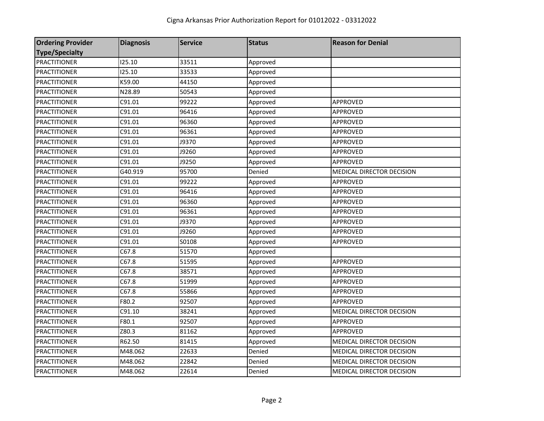| <b>Ordering Provider</b> | <b>Diagnosis</b> | <b>Service</b> | <b>Status</b> | <b>Reason for Denial</b>  |
|--------------------------|------------------|----------------|---------------|---------------------------|
| <b>Type/Specialty</b>    |                  |                |               |                           |
| <b>PRACTITIONER</b>      | 125.10           | 33511          | Approved      |                           |
| <b>PRACTITIONER</b>      | 125.10           | 33533          | Approved      |                           |
| <b>PRACTITIONER</b>      | K59.00           | 44150          | Approved      |                           |
| <b>PRACTITIONER</b>      | N28.89           | 50543          | Approved      |                           |
| <b>PRACTITIONER</b>      | C91.01           | 99222          | Approved      | APPROVED                  |
| <b>PRACTITIONER</b>      | C91.01           | 96416          | Approved      | <b>APPROVED</b>           |
| <b>PRACTITIONER</b>      | C91.01           | 96360          | Approved      | <b>APPROVED</b>           |
| <b>PRACTITIONER</b>      | C91.01           | 96361          | Approved      | APPROVED                  |
| <b>PRACTITIONER</b>      | C91.01           | J9370          | Approved      | APPROVED                  |
| <b>PRACTITIONER</b>      | C91.01           | J9260          | Approved      | APPROVED                  |
| <b>PRACTITIONER</b>      | C91.01           | J9250          | Approved      | APPROVED                  |
| <b>PRACTITIONER</b>      | G40.919          | 95700          | Denied        | MEDICAL DIRECTOR DECISION |
| <b>PRACTITIONER</b>      | C91.01           | 99222          | Approved      | <b>APPROVED</b>           |
| <b>PRACTITIONER</b>      | C91.01           | 96416          | Approved      | APPROVED                  |
| <b>PRACTITIONER</b>      | C91.01           | 96360          | Approved      | APPROVED                  |
| <b>PRACTITIONER</b>      | C91.01           | 96361          | Approved      | APPROVED                  |
| <b>PRACTITIONER</b>      | C91.01           | J9370          | Approved      | <b>APPROVED</b>           |
| <b>PRACTITIONER</b>      | C91.01           | J9260          | Approved      | APPROVED                  |
| <b>PRACTITIONER</b>      | C91.01           | S0108          | Approved      | APPROVED                  |
| <b>PRACTITIONER</b>      | C67.8            | 51570          | Approved      |                           |
| <b>PRACTITIONER</b>      | C67.8            | 51595          | Approved      | APPROVED                  |
| <b>PRACTITIONER</b>      | C67.8            | 38571          | Approved      | APPROVED                  |
| <b>PRACTITIONER</b>      | C67.8            | 51999          | Approved      | <b>APPROVED</b>           |
| <b>PRACTITIONER</b>      | C67.8            | 55866          | Approved      | APPROVED                  |
| <b>PRACTITIONER</b>      | F80.2            | 92507          | Approved      | APPROVED                  |
| <b>PRACTITIONER</b>      | C91.10           | 38241          | Approved      | MEDICAL DIRECTOR DECISION |
| <b>PRACTITIONER</b>      | F80.1            | 92507          | Approved      | APPROVED                  |
| <b>PRACTITIONER</b>      | Z80.3            | 81162          | Approved      | <b>APPROVED</b>           |
| <b>PRACTITIONER</b>      | R62.50           | 81415          | Approved      | MEDICAL DIRECTOR DECISION |
| <b>PRACTITIONER</b>      | M48.062          | 22633          | Denied        | MEDICAL DIRECTOR DECISION |
| <b>PRACTITIONER</b>      | M48.062          | 22842          | Denied        | MEDICAL DIRECTOR DECISION |
| <b>PRACTITIONER</b>      | M48.062          | 22614          | Denied        | MEDICAL DIRECTOR DECISION |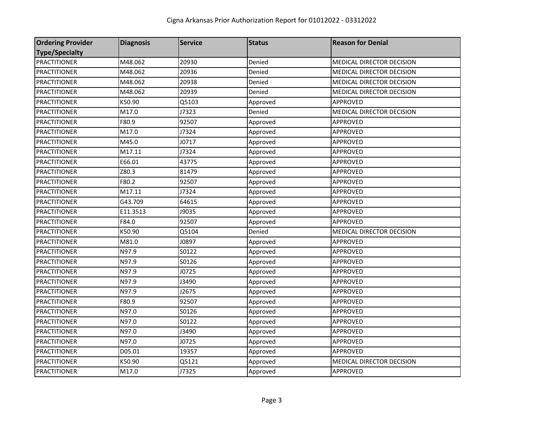| <b>Ordering Provider</b> | <b>Diagnosis</b> | <b>Service</b> | <b>Status</b> | <b>Reason for Denial</b>         |
|--------------------------|------------------|----------------|---------------|----------------------------------|
| <b>Type/Specialty</b>    |                  |                |               |                                  |
| <b>PRACTITIONER</b>      | M48.062          | 20930          | Denied        | <b>MEDICAL DIRECTOR DECISION</b> |
| <b>PRACTITIONER</b>      | M48.062          | 20936          | Denied        | MEDICAL DIRECTOR DECISION        |
| <b>PRACTITIONER</b>      | M48.062          | 20938          | Denied        | <b>MEDICAL DIRECTOR DECISION</b> |
| <b>PRACTITIONER</b>      | M48.062          | 20939          | Denied        | MEDICAL DIRECTOR DECISION        |
| <b>PRACTITIONER</b>      | K50.90           | Q5103          | Approved      | APPROVED                         |
| <b>PRACTITIONER</b>      | M17.0            | J7323          | Denied        | MEDICAL DIRECTOR DECISION        |
| <b>PRACTITIONER</b>      | F80.9            | 92507          | Approved      | <b>APPROVED</b>                  |
| <b>PRACTITIONER</b>      | M17.0            | J7324          | Approved      | <b>APPROVED</b>                  |
| <b>PRACTITIONER</b>      | M45.0            | J0717          | Approved      | <b>APPROVED</b>                  |
| <b>PRACTITIONER</b>      | M17.11           | J7324          | Approved      | APPROVED                         |
| <b>PRACTITIONER</b>      | E66.01           | 43775          | Approved      | APPROVED                         |
| <b>PRACTITIONER</b>      | Z80.3            | 81479          | Approved      | APPROVED                         |
| <b>PRACTITIONER</b>      | F80.2            | 92507          | Approved      | <b>APPROVED</b>                  |
| <b>PRACTITIONER</b>      | M17.11           | J7324          | Approved      | APPROVED                         |
| <b>PRACTITIONER</b>      | G43.709          | 64615          | Approved      | APPROVED                         |
| <b>PRACTITIONER</b>      | E11.3513         | J9035          | Approved      | <b>APPROVED</b>                  |
| <b>PRACTITIONER</b>      | F84.0            | 92507          | Approved      | <b>APPROVED</b>                  |
| <b>PRACTITIONER</b>      | K50.90           | Q5104          | Denied        | MEDICAL DIRECTOR DECISION        |
| <b>PRACTITIONER</b>      | M81.0            | J0897          | Approved      | APPROVED                         |
| <b>PRACTITIONER</b>      | N97.9            | S0122          | Approved      | APPROVED                         |
| <b>PRACTITIONER</b>      | N97.9            | S0126          | Approved      | APPROVED                         |
| <b>PRACTITIONER</b>      | N97.9            | J0725          | Approved      | <b>APPROVED</b>                  |
| <b>PRACTITIONER</b>      | N97.9            | J3490          | Approved      | <b>APPROVED</b>                  |
| <b>PRACTITIONER</b>      | N97.9            | J2675          | Approved      | APPROVED                         |
| <b>PRACTITIONER</b>      | F80.9            | 92507          | Approved      | APPROVED                         |
| <b>PRACTITIONER</b>      | N97.0            | S0126          | Approved      | APPROVED                         |
| <b>PRACTITIONER</b>      | N97.0            | S0122          | Approved      | APPROVED                         |
| <b>PRACTITIONER</b>      | N97.0            | J3490          | Approved      | <b>APPROVED</b>                  |
| <b>PRACTITIONER</b>      | N97.0            | J0725          | Approved      | APPROVED                         |
| <b>PRACTITIONER</b>      | D05.01           | 19357          | Approved      | APPROVED                         |
| <b>PRACTITIONER</b>      | K50.90           | Q5121          | Approved      | MEDICAL DIRECTOR DECISION        |
| <b>PRACTITIONER</b>      | M17.0            | J7325          | Approved      | APPROVED                         |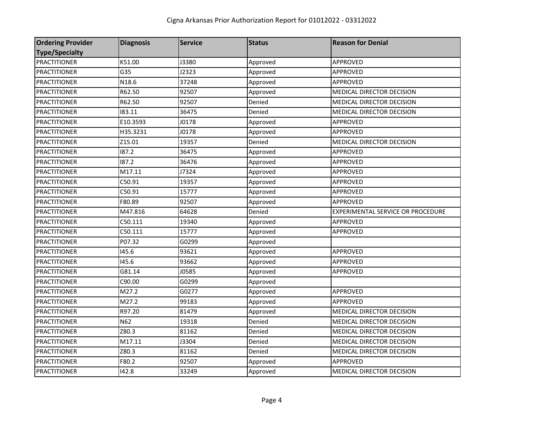| <b>Ordering Provider</b> | <b>Diagnosis</b> | <b>Service</b> | <b>Status</b> | <b>Reason for Denial</b>          |
|--------------------------|------------------|----------------|---------------|-----------------------------------|
| <b>Type/Specialty</b>    |                  |                |               |                                   |
| <b>PRACTITIONER</b>      | K51.00           | J3380          | Approved      | <b>APPROVED</b>                   |
| <b>PRACTITIONER</b>      | G35              | J2323          | Approved      | <b>APPROVED</b>                   |
| <b>PRACTITIONER</b>      | N18.6            | 37248          | Approved      | <b>APPROVED</b>                   |
| <b>PRACTITIONER</b>      | R62.50           | 92507          | Approved      | MEDICAL DIRECTOR DECISION         |
| <b>PRACTITIONER</b>      | R62.50           | 92507          | Denied        | MEDICAL DIRECTOR DECISION         |
| <b>PRACTITIONER</b>      | 183.11           | 36475          | Denied        | MEDICAL DIRECTOR DECISION         |
| <b>PRACTITIONER</b>      | E10.3593         | J0178          | Approved      | APPROVED                          |
| <b>PRACTITIONER</b>      | H35.3231         | J0178          | Approved      | <b>APPROVED</b>                   |
| <b>PRACTITIONER</b>      | Z15.01           | 19357          | Denied        | MEDICAL DIRECTOR DECISION         |
| <b>PRACTITIONER</b>      | 187.2            | 36475          | Approved      | APPROVED                          |
| <b>PRACTITIONER</b>      | 187.2            | 36476          | Approved      | APPROVED                          |
| <b>PRACTITIONER</b>      | M17.11           | J7324          | Approved      | APPROVED                          |
| <b>PRACTITIONER</b>      | C50.91           | 19357          | Approved      | <b>APPROVED</b>                   |
| <b>PRACTITIONER</b>      | C50.91           | 15777          | Approved      | APPROVED                          |
| <b>PRACTITIONER</b>      | F80.89           | 92507          | Approved      | APPROVED                          |
| <b>PRACTITIONER</b>      | M47.816          | 64628          | Denied        | EXPERIMENTAL SERVICE OR PROCEDURE |
| <b>PRACTITIONER</b>      | C50.111          | 19340          | Approved      | APPROVED                          |
| <b>PRACTITIONER</b>      | C50.111          | 15777          | Approved      | <b>APPROVED</b>                   |
| <b>PRACTITIONER</b>      | P07.32           | G0299          | Approved      |                                   |
| <b>PRACTITIONER</b>      | 145.6            | 93621          | Approved      | <b>APPROVED</b>                   |
| <b>PRACTITIONER</b>      | 145.6            | 93662          | Approved      | <b>APPROVED</b>                   |
| <b>PRACTITIONER</b>      | G81.14           | J0585          | Approved      | APPROVED                          |
| <b>PRACTITIONER</b>      | C90.00           | G0299          | Approved      |                                   |
| <b>PRACTITIONER</b>      | M27.2            | G0277          | Approved      | APPROVED                          |
| <b>PRACTITIONER</b>      | M27.2            | 99183          | Approved      | <b>APPROVED</b>                   |
| <b>PRACTITIONER</b>      | R97.20           | 81479          | Approved      | <b>MEDICAL DIRECTOR DECISION</b>  |
| <b>PRACTITIONER</b>      | N62              | 19318          | Denied        | MEDICAL DIRECTOR DECISION         |
| <b>PRACTITIONER</b>      | Z80.3            | 81162          | Denied        | MEDICAL DIRECTOR DECISION         |
| <b>PRACTITIONER</b>      | M17.11           | J3304          | Denied        | MEDICAL DIRECTOR DECISION         |
| <b>PRACTITIONER</b>      | Z80.3            | 81162          | Denied        | MEDICAL DIRECTOR DECISION         |
| <b>PRACTITIONER</b>      | F80.2            | 92507          | Approved      | APPROVED                          |
| <b>PRACTITIONER</b>      | 142.8            | 33249          | Approved      | <b>MEDICAL DIRECTOR DECISION</b>  |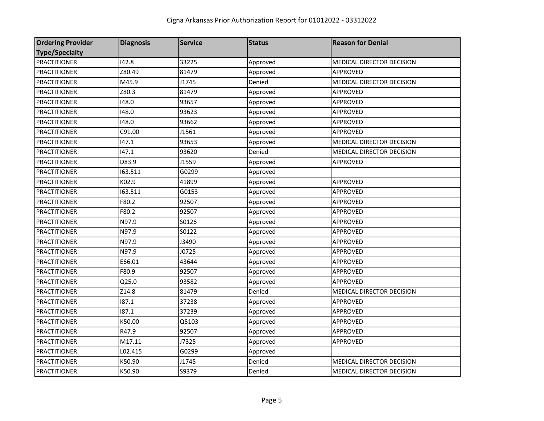| <b>Ordering Provider</b> | <b>Diagnosis</b> | <b>Service</b> | <b>Status</b> | <b>Reason for Denial</b>  |
|--------------------------|------------------|----------------|---------------|---------------------------|
| <b>Type/Specialty</b>    |                  |                |               |                           |
| <b>PRACTITIONER</b>      | 142.8            | 33225          | Approved      | MEDICAL DIRECTOR DECISION |
| <b>PRACTITIONER</b>      | Z80.49           | 81479          | Approved      | <b>APPROVED</b>           |
| <b>PRACTITIONER</b>      | M45.9            | J1745          | Denied        | MEDICAL DIRECTOR DECISION |
| <b>PRACTITIONER</b>      | Z80.3            | 81479          | Approved      | APPROVED                  |
| <b>PRACTITIONER</b>      | 148.0            | 93657          | Approved      | APPROVED                  |
| <b>PRACTITIONER</b>      | 148.0            | 93623          | Approved      | APPROVED                  |
| <b>PRACTITIONER</b>      | 148.0            | 93662          | Approved      | APPROVED                  |
| <b>PRACTITIONER</b>      | C91.00           | J1561          | Approved      | APPROVED                  |
| <b>PRACTITIONER</b>      | 147.1            | 93653          | Approved      | MEDICAL DIRECTOR DECISION |
| <b>PRACTITIONER</b>      | 147.1            | 93620          | Denied        | MEDICAL DIRECTOR DECISION |
| <b>PRACTITIONER</b>      | D83.9            | J1559          | Approved      | APPROVED                  |
| <b>PRACTITIONER</b>      | 163.511          | G0299          | Approved      |                           |
| <b>PRACTITIONER</b>      | K02.9            | 41899          | Approved      | <b>APPROVED</b>           |
| <b>PRACTITIONER</b>      | 163.511          | G0153          | Approved      | APPROVED                  |
| <b>PRACTITIONER</b>      | F80.2            | 92507          | Approved      | APPROVED                  |
| <b>PRACTITIONER</b>      | F80.2            | 92507          | Approved      | <b>APPROVED</b>           |
| <b>PRACTITIONER</b>      | N97.9            | S0126          | Approved      | APPROVED                  |
| <b>PRACTITIONER</b>      | N97.9            | S0122          | Approved      | APPROVED                  |
| <b>PRACTITIONER</b>      | N97.9            | J3490          | Approved      | APPROVED                  |
| <b>PRACTITIONER</b>      | N97.9            | J0725          | Approved      | <b>APPROVED</b>           |
| <b>PRACTITIONER</b>      | E66.01           | 43644          | Approved      | APPROVED                  |
| <b>PRACTITIONER</b>      | F80.9            | 92507          | Approved      | APPROVED                  |
| <b>PRACTITIONER</b>      | Q25.0            | 93582          | Approved      | <b>APPROVED</b>           |
| <b>PRACTITIONER</b>      | Z14.8            | 81479          | Denied        | MEDICAL DIRECTOR DECISION |
| <b>PRACTITIONER</b>      | 187.1            | 37238          | Approved      | <b>APPROVED</b>           |
| <b>PRACTITIONER</b>      | 187.1            | 37239          | Approved      | <b>APPROVED</b>           |
| <b>PRACTITIONER</b>      | K50.00           | Q5103          | Approved      | APPROVED                  |
| <b>PRACTITIONER</b>      | R47.9            | 92507          | Approved      | <b>APPROVED</b>           |
| <b>PRACTITIONER</b>      | M17.11           | J7325          | Approved      | APPROVED                  |
| <b>PRACTITIONER</b>      | L02.415          | G0299          | Approved      |                           |
| <b>PRACTITIONER</b>      | K50.90           | J1745          | Denied        | MEDICAL DIRECTOR DECISION |
| <b>PRACTITIONER</b>      | K50.90           | S9379          | Denied        | MEDICAL DIRECTOR DECISION |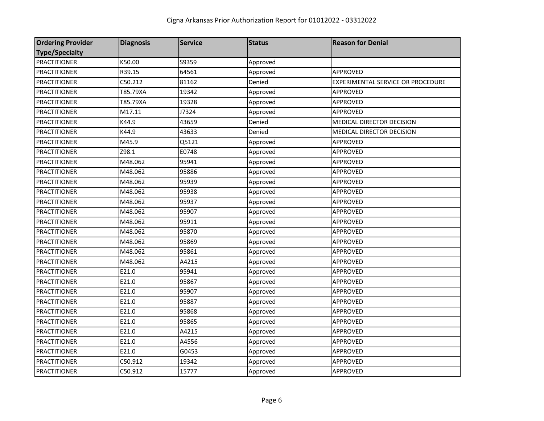| <b>Ordering Provider</b> | <b>Diagnosis</b> | <b>Service</b> | <b>Status</b> | <b>Reason for Denial</b>          |
|--------------------------|------------------|----------------|---------------|-----------------------------------|
| <b>Type/Specialty</b>    |                  |                |               |                                   |
| <b>PRACTITIONER</b>      | K50.00           | S9359          | Approved      |                                   |
| <b>PRACTITIONER</b>      | R39.15           | 64561          | Approved      | <b>APPROVED</b>                   |
| <b>PRACTITIONER</b>      | C50.212          | 81162          | Denied        | EXPERIMENTAL SERVICE OR PROCEDURE |
| <b>PRACTITIONER</b>      | T85.79XA         | 19342          | Approved      | <b>APPROVED</b>                   |
| <b>PRACTITIONER</b>      | T85.79XA         | 19328          | Approved      | <b>APPROVED</b>                   |
| <b>PRACTITIONER</b>      | M17.11           | J7324          | Approved      | APPROVED                          |
| <b>PRACTITIONER</b>      | K44.9            | 43659          | Denied        | MEDICAL DIRECTOR DECISION         |
| <b>PRACTITIONER</b>      | K44.9            | 43633          | Denied        | MEDICAL DIRECTOR DECISION         |
| <b>PRACTITIONER</b>      | M45.9            | Q5121          | Approved      | <b>APPROVED</b>                   |
| <b>PRACTITIONER</b>      | Z98.1            | E0748          | Approved      | APPROVED                          |
| <b>PRACTITIONER</b>      | M48.062          | 95941          | Approved      | APPROVED                          |
| <b>PRACTITIONER</b>      | M48.062          | 95886          | Approved      | <b>APPROVED</b>                   |
| <b>PRACTITIONER</b>      | M48.062          | 95939          | Approved      | APPROVED                          |
| <b>PRACTITIONER</b>      | M48.062          | 95938          | Approved      | APPROVED                          |
| <b>PRACTITIONER</b>      | M48.062          | 95937          | Approved      | APPROVED                          |
| <b>PRACTITIONER</b>      | M48.062          | 95907          | Approved      | <b>APPROVED</b>                   |
| <b>PRACTITIONER</b>      | M48.062          | 95911          | Approved      | APPROVED                          |
| <b>PRACTITIONER</b>      | M48.062          | 95870          | Approved      | <b>APPROVED</b>                   |
| <b>PRACTITIONER</b>      | M48.062          | 95869          | Approved      | APPROVED                          |
| <b>PRACTITIONER</b>      | M48.062          | 95861          | Approved      | APPROVED                          |
| <b>PRACTITIONER</b>      | M48.062          | A4215          | Approved      | APPROVED                          |
| <b>PRACTITIONER</b>      | E21.0            | 95941          | Approved      | APPROVED                          |
| <b>PRACTITIONER</b>      | E21.0            | 95867          | Approved      | <b>APPROVED</b>                   |
| <b>PRACTITIONER</b>      | E21.0            | 95907          | Approved      | <b>APPROVED</b>                   |
| <b>PRACTITIONER</b>      | E21.0            | 95887          | Approved      | APPROVED                          |
| <b>PRACTITIONER</b>      | E21.0            | 95868          | Approved      | APPROVED                          |
| <b>PRACTITIONER</b>      | E21.0            | 95865          | Approved      | APPROVED                          |
| <b>PRACTITIONER</b>      | E21.0            | A4215          | Approved      | APPROVED                          |
| <b>PRACTITIONER</b>      | E21.0            | A4556          | Approved      | APPROVED                          |
| <b>PRACTITIONER</b>      | E21.0            | G0453          | Approved      | APPROVED                          |
| <b>PRACTITIONER</b>      | C50.912          | 19342          | Approved      | APPROVED                          |
| <b>PRACTITIONER</b>      | C50.912          | 15777          | Approved      | <b>APPROVED</b>                   |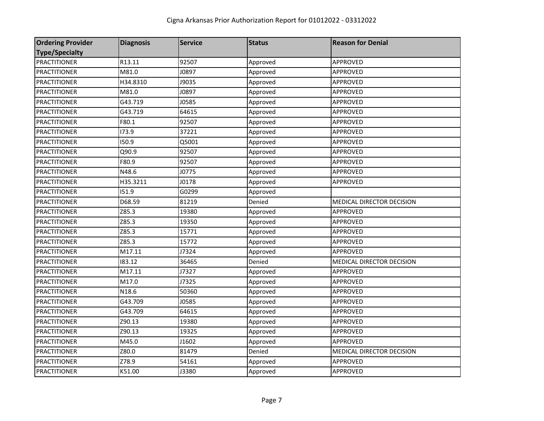| <b>Ordering Provider</b> | <b>Diagnosis</b> | <b>Service</b> | <b>Status</b> | <b>Reason for Denial</b>  |
|--------------------------|------------------|----------------|---------------|---------------------------|
| <b>Type/Specialty</b>    |                  |                |               |                           |
| <b>PRACTITIONER</b>      | R13.11           | 92507          | Approved      | APPROVED                  |
| <b>PRACTITIONER</b>      | M81.0            | J0897          | Approved      | APPROVED                  |
| <b>PRACTITIONER</b>      | H34.8310         | J9035          | Approved      | APPROVED                  |
| <b>PRACTITIONER</b>      | M81.0            | J0897          | Approved      | APPROVED                  |
| <b>PRACTITIONER</b>      | G43.719          | J0585          | Approved      | APPROVED                  |
| <b>PRACTITIONER</b>      | G43.719          | 64615          | Approved      | APPROVED                  |
| <b>PRACTITIONER</b>      | F80.1            | 92507          | Approved      | APPROVED                  |
| <b>PRACTITIONER</b>      | 173.9            | 37221          | Approved      | APPROVED                  |
| <b>PRACTITIONER</b>      | 150.9            | Q5001          | Approved      | APPROVED                  |
| <b>PRACTITIONER</b>      | Q90.9            | 92507          | Approved      | APPROVED                  |
| <b>PRACTITIONER</b>      | F80.9            | 92507          | Approved      | <b>APPROVED</b>           |
| <b>PRACTITIONER</b>      | N48.6            | J0775          | Approved      | APPROVED                  |
| <b>PRACTITIONER</b>      | H35.3211         | J0178          | Approved      | APPROVED                  |
| <b>PRACTITIONER</b>      | 151.9            | G0299          | Approved      |                           |
| <b>PRACTITIONER</b>      | D68.59           | 81219          | Denied        | MEDICAL DIRECTOR DECISION |
| <b>PRACTITIONER</b>      | Z85.3            | 19380          | Approved      | APPROVED                  |
| <b>PRACTITIONER</b>      | Z85.3            | 19350          | Approved      | APPROVED                  |
| <b>PRACTITIONER</b>      | Z85.3            | 15771          | Approved      | APPROVED                  |
| <b>PRACTITIONER</b>      | Z85.3            | 15772          | Approved      | APPROVED                  |
| <b>PRACTITIONER</b>      | M17.11           | J7324          | Approved      | APPROVED                  |
| <b>PRACTITIONER</b>      | 183.12           | 36465          | Denied        | MEDICAL DIRECTOR DECISION |
| <b>PRACTITIONER</b>      | M17.11           | J7327          | Approved      | APPROVED                  |
| <b>PRACTITIONER</b>      | M17.0            | J7325          | Approved      | APPROVED                  |
| <b>PRACTITIONER</b>      | N18.6            | 50360          | Approved      | APPROVED                  |
| <b>PRACTITIONER</b>      | G43.709          | J0585          | Approved      | APPROVED                  |
| <b>PRACTITIONER</b>      | G43.709          | 64615          | Approved      | APPROVED                  |
| <b>PRACTITIONER</b>      | Z90.13           | 19380          | Approved      | APPROVED                  |
| PRACTITIONER             | Z90.13           | 19325          | Approved      | APPROVED                  |
| <b>PRACTITIONER</b>      | M45.0            | J1602          | Approved      | <b>APPROVED</b>           |
| <b>PRACTITIONER</b>      | Z80.0            | 81479          | Denied        | MEDICAL DIRECTOR DECISION |
| <b>PRACTITIONER</b>      | Z78.9            | 54161          | Approved      | APPROVED                  |
| <b>PRACTITIONER</b>      | K51.00           | J3380          | Approved      | APPROVED                  |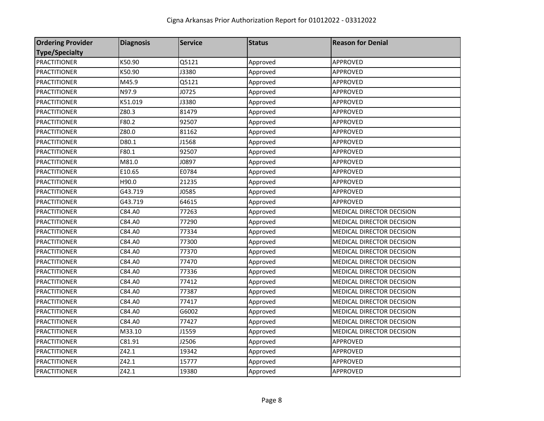| <b>Ordering Provider</b> | <b>Diagnosis</b> | <b>Service</b> | <b>Status</b> | <b>Reason for Denial</b>         |
|--------------------------|------------------|----------------|---------------|----------------------------------|
| <b>Type/Specialty</b>    |                  |                |               |                                  |
| <b>PRACTITIONER</b>      | K50.90           | Q5121          | Approved      | APPROVED                         |
| <b>PRACTITIONER</b>      | K50.90           | J3380          | Approved      | <b>APPROVED</b>                  |
| <b>PRACTITIONER</b>      | M45.9            | Q5121          | Approved      | APPROVED                         |
| <b>PRACTITIONER</b>      | N97.9            | J0725          | Approved      | APPROVED                         |
| <b>PRACTITIONER</b>      | K51.019          | J3380          | Approved      | APPROVED                         |
| <b>PRACTITIONER</b>      | Z80.3            | 81479          | Approved      | APPROVED                         |
| <b>PRACTITIONER</b>      | F80.2            | 92507          | Approved      | APPROVED                         |
| <b>PRACTITIONER</b>      | Z80.0            | 81162          | Approved      | APPROVED                         |
| <b>PRACTITIONER</b>      | D80.1            | J1568          | Approved      | APPROVED                         |
| <b>PRACTITIONER</b>      | F80.1            | 92507          | Approved      | APPROVED                         |
| <b>PRACTITIONER</b>      | M81.0            | J0897          | Approved      | APPROVED                         |
| <b>PRACTITIONER</b>      | E10.65           | E0784          | Approved      | APPROVED                         |
| <b>PRACTITIONER</b>      | H90.0            | 21235          | Approved      | <b>APPROVED</b>                  |
| <b>PRACTITIONER</b>      | G43.719          | J0585          | Approved      | APPROVED                         |
| <b>PRACTITIONER</b>      | G43.719          | 64615          | Approved      | APPROVED                         |
| <b>PRACTITIONER</b>      | C84.A0           | 77263          | Approved      | <b>MEDICAL DIRECTOR DECISION</b> |
| <b>PRACTITIONER</b>      | C84.A0           | 77290          | Approved      | MEDICAL DIRECTOR DECISION        |
| <b>PRACTITIONER</b>      | C84.A0           | 77334          | Approved      | <b>MEDICAL DIRECTOR DECISION</b> |
| <b>PRACTITIONER</b>      | C84.A0           | 77300          | Approved      | <b>MEDICAL DIRECTOR DECISION</b> |
| <b>PRACTITIONER</b>      | C84.A0           | 77370          | Approved      | MEDICAL DIRECTOR DECISION        |
| <b>PRACTITIONER</b>      | C84.A0           | 77470          | Approved      | MEDICAL DIRECTOR DECISION        |
| <b>PRACTITIONER</b>      | C84.A0           | 77336          | Approved      | MEDICAL DIRECTOR DECISION        |
| <b>PRACTITIONER</b>      | C84.A0           | 77412          | Approved      | MEDICAL DIRECTOR DECISION        |
| <b>PRACTITIONER</b>      | C84.A0           | 77387          | Approved      | MEDICAL DIRECTOR DECISION        |
| <b>PRACTITIONER</b>      | C84.A0           | 77417          | Approved      | MEDICAL DIRECTOR DECISION        |
| <b>PRACTITIONER</b>      | C84.A0           | G6002          | Approved      | MEDICAL DIRECTOR DECISION        |
| <b>PRACTITIONER</b>      | C84.A0           | 77427          | Approved      | MEDICAL DIRECTOR DECISION        |
| <b>PRACTITIONER</b>      | M33.10           | J1559          | Approved      | MEDICAL DIRECTOR DECISION        |
| <b>PRACTITIONER</b>      | C81.91           | J2506          | Approved      | APPROVED                         |
| <b>PRACTITIONER</b>      | Z42.1            | 19342          | Approved      | APPROVED                         |
| <b>PRACTITIONER</b>      | Z42.1            | 15777          | Approved      | APPROVED                         |
| <b>PRACTITIONER</b>      | Z42.1            | 19380          | Approved      | APPROVED                         |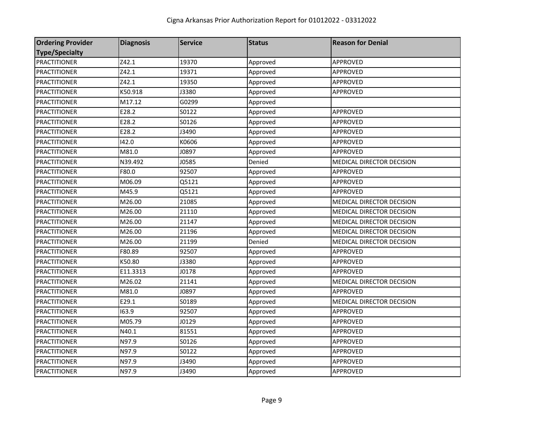| <b>Ordering Provider</b> | <b>Diagnosis</b> | <b>Service</b> | <b>Status</b> | <b>Reason for Denial</b>  |
|--------------------------|------------------|----------------|---------------|---------------------------|
| <b>Type/Specialty</b>    |                  |                |               |                           |
| <b>PRACTITIONER</b>      | Z42.1            | 19370          | Approved      | APPROVED                  |
| <b>PRACTITIONER</b>      | Z42.1            | 19371          | Approved      | APPROVED                  |
| <b>PRACTITIONER</b>      | Z42.1            | 19350          | Approved      | APPROVED                  |
| <b>PRACTITIONER</b>      | K50.918          | J3380          | Approved      | <b>APPROVED</b>           |
| <b>PRACTITIONER</b>      | M17.12           | G0299          | Approved      |                           |
| <b>PRACTITIONER</b>      | E28.2            | S0122          | Approved      | <b>APPROVED</b>           |
| PRACTITIONER             | E28.2            | S0126          | Approved      | APPROVED                  |
| <b>PRACTITIONER</b>      | E28.2            | J3490          | Approved      | APPROVED                  |
| <b>PRACTITIONER</b>      | 142.0            | K0606          | Approved      | APPROVED                  |
| <b>PRACTITIONER</b>      | M81.0            | J0897          | Approved      | APPROVED                  |
| <b>PRACTITIONER</b>      | N39.492          | J0585          | Denied        | MEDICAL DIRECTOR DECISION |
| <b>PRACTITIONER</b>      | F80.0            | 92507          | Approved      | <b>APPROVED</b>           |
| <b>PRACTITIONER</b>      | M06.09           | Q5121          | Approved      | <b>APPROVED</b>           |
| <b>PRACTITIONER</b>      | M45.9            | Q5121          | Approved      | APPROVED                  |
| <b>PRACTITIONER</b>      | M26.00           | 21085          | Approved      | MEDICAL DIRECTOR DECISION |
| <b>PRACTITIONER</b>      | M26.00           | 21110          | Approved      | MEDICAL DIRECTOR DECISION |
| <b>PRACTITIONER</b>      | M26.00           | 21147          | Approved      | MEDICAL DIRECTOR DECISION |
| <b>PRACTITIONER</b>      | M26.00           | 21196          | Approved      | MEDICAL DIRECTOR DECISION |
| <b>PRACTITIONER</b>      | M26.00           | 21199          | Denied        | MEDICAL DIRECTOR DECISION |
| <b>PRACTITIONER</b>      | F80.89           | 92507          | Approved      | APPROVED                  |
| <b>PRACTITIONER</b>      | K50.80           | J3380          | Approved      | APPROVED                  |
| <b>PRACTITIONER</b>      | E11.3313         | J0178          | Approved      | APPROVED                  |
| <b>PRACTITIONER</b>      | M26.02           | 21141          | Approved      | MEDICAL DIRECTOR DECISION |
| <b>PRACTITIONER</b>      | M81.0            | J0897          | Approved      | <b>APPROVED</b>           |
| <b>PRACTITIONER</b>      | E29.1            | S0189          | Approved      | MEDICAL DIRECTOR DECISION |
| <b>PRACTITIONER</b>      | 163.9            | 92507          | Approved      | <b>APPROVED</b>           |
| <b>PRACTITIONER</b>      | M05.79           | J0129          | Approved      | APPROVED                  |
| <b>PRACTITIONER</b>      | N40.1            | 81551          | Approved      | <b>APPROVED</b>           |
| <b>PRACTITIONER</b>      | N97.9            | S0126          | Approved      | APPROVED                  |
| <b>PRACTITIONER</b>      | N97.9            | S0122          | Approved      | APPROVED                  |
| <b>PRACTITIONER</b>      | N97.9            | J3490          | Approved      | APPROVED                  |
| <b>PRACTITIONER</b>      | N97.9            | J3490          | Approved      | <b>APPROVED</b>           |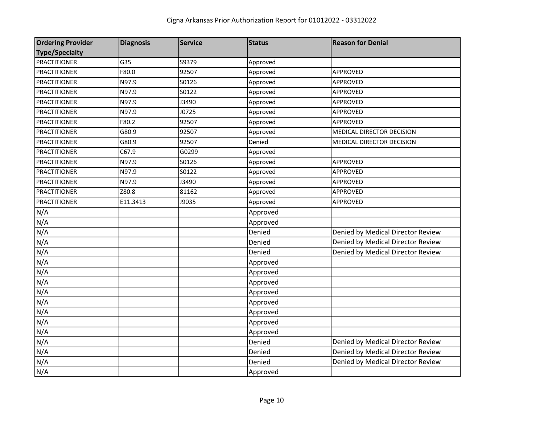| <b>Ordering Provider</b> | <b>Diagnosis</b> | <b>Service</b> | <b>Status</b> | <b>Reason for Denial</b>          |
|--------------------------|------------------|----------------|---------------|-----------------------------------|
| <b>Type/Specialty</b>    |                  |                |               |                                   |
| <b>PRACTITIONER</b>      | G35              | S9379          | Approved      |                                   |
| <b>PRACTITIONER</b>      | F80.0            | 92507          | Approved      | <b>APPROVED</b>                   |
| <b>PRACTITIONER</b>      | N97.9            | S0126          | Approved      | APPROVED                          |
| <b>PRACTITIONER</b>      | N97.9            | S0122          | Approved      | APPROVED                          |
| <b>PRACTITIONER</b>      | N97.9            | J3490          | Approved      | APPROVED                          |
| <b>PRACTITIONER</b>      | N97.9            | J0725          | Approved      | APPROVED                          |
| <b>PRACTITIONER</b>      | F80.2            | 92507          | Approved      | <b>APPROVED</b>                   |
| <b>PRACTITIONER</b>      | G80.9            | 92507          | Approved      | MEDICAL DIRECTOR DECISION         |
| <b>PRACTITIONER</b>      | G80.9            | 92507          | Denied        | MEDICAL DIRECTOR DECISION         |
| <b>PRACTITIONER</b>      | C67.9            | G0299          | Approved      |                                   |
| <b>PRACTITIONER</b>      | N97.9            | S0126          | Approved      | <b>APPROVED</b>                   |
| <b>PRACTITIONER</b>      | N97.9            | S0122          | Approved      | APPROVED                          |
| <b>PRACTITIONER</b>      | N97.9            | J3490          | Approved      | APPROVED                          |
| <b>PRACTITIONER</b>      | Z80.8            | 81162          | Approved      | APPROVED                          |
| <b>PRACTITIONER</b>      | E11.3413         | J9035          | Approved      | APPROVED                          |
| N/A                      |                  |                | Approved      |                                   |
| N/A                      |                  |                | Approved      |                                   |
| N/A                      |                  |                | Denied        | Denied by Medical Director Review |
| N/A                      |                  |                | Denied        | Denied by Medical Director Review |
| N/A                      |                  |                | Denied        | Denied by Medical Director Review |
| N/A                      |                  |                | Approved      |                                   |
| N/A                      |                  |                | Approved      |                                   |
| N/A                      |                  |                | Approved      |                                   |
| N/A                      |                  |                | Approved      |                                   |
| N/A                      |                  |                | Approved      |                                   |
| N/A                      |                  |                | Approved      |                                   |
| N/A                      |                  |                | Approved      |                                   |
| N/A                      |                  |                | Approved      |                                   |
| N/A                      |                  |                | Denied        | Denied by Medical Director Review |
| N/A                      |                  |                | Denied        | Denied by Medical Director Review |
| N/A                      |                  |                | Denied        | Denied by Medical Director Review |
| N/A                      |                  |                | Approved      |                                   |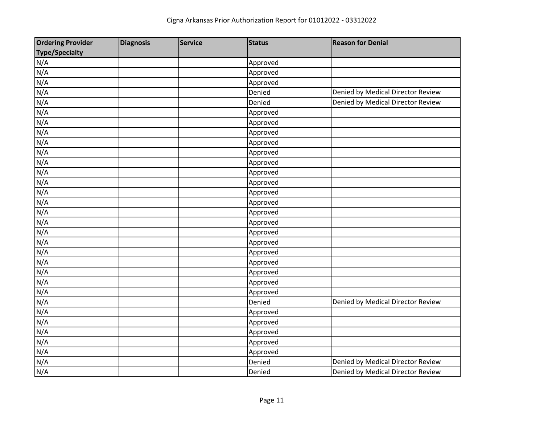| <b>Ordering Provider</b> | <b>Diagnosis</b> | <b>Service</b> | <b>Status</b> | <b>Reason for Denial</b>          |
|--------------------------|------------------|----------------|---------------|-----------------------------------|
| <b>Type/Specialty</b>    |                  |                |               |                                   |
| N/A                      |                  |                | Approved      |                                   |
| N/A                      |                  |                | Approved      |                                   |
| N/A                      |                  |                | Approved      |                                   |
| N/A                      |                  |                | Denied        | Denied by Medical Director Review |
| N/A                      |                  |                | Denied        | Denied by Medical Director Review |
| N/A                      |                  |                | Approved      |                                   |
| N/A                      |                  |                | Approved      |                                   |
| N/A                      |                  |                | Approved      |                                   |
| N/A                      |                  |                | Approved      |                                   |
| N/A                      |                  |                | Approved      |                                   |
| N/A                      |                  |                | Approved      |                                   |
| N/A                      |                  |                | Approved      |                                   |
| N/A                      |                  |                | Approved      |                                   |
| N/A                      |                  |                | Approved      |                                   |
| N/A                      |                  |                | Approved      |                                   |
| N/A                      |                  |                | Approved      |                                   |
| N/A                      |                  |                | Approved      |                                   |
| N/A                      |                  |                | Approved      |                                   |
| N/A                      |                  |                | Approved      |                                   |
| N/A                      |                  |                | Approved      |                                   |
| N/A                      |                  |                | Approved      |                                   |
| N/A                      |                  |                | Approved      |                                   |
| N/A                      |                  |                | Approved      |                                   |
| N/A                      |                  |                | Approved      |                                   |
| N/A                      |                  |                | Denied        | Denied by Medical Director Review |
| N/A                      |                  |                | Approved      |                                   |
| N/A                      |                  |                | Approved      |                                   |
| N/A                      |                  |                | Approved      |                                   |
| N/A                      |                  |                | Approved      |                                   |
| N/A                      |                  |                | Approved      |                                   |
| N/A                      |                  |                | Denied        | Denied by Medical Director Review |
| N/A                      |                  |                | Denied        | Denied by Medical Director Review |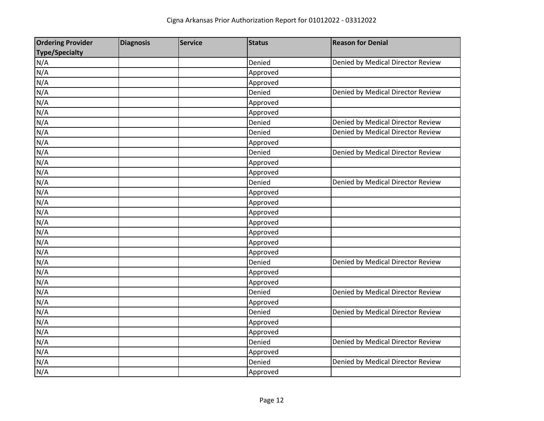| <b>Ordering Provider</b> | <b>Diagnosis</b> | <b>Service</b> | <b>Status</b> | <b>Reason for Denial</b>          |
|--------------------------|------------------|----------------|---------------|-----------------------------------|
| <b>Type/Specialty</b>    |                  |                |               |                                   |
| N/A                      |                  |                | Denied        | Denied by Medical Director Review |
| N/A                      |                  |                | Approved      |                                   |
| N/A                      |                  |                | Approved      |                                   |
| N/A                      |                  |                | Denied        | Denied by Medical Director Review |
| N/A                      |                  |                | Approved      |                                   |
| N/A                      |                  |                | Approved      |                                   |
| N/A                      |                  |                | Denied        | Denied by Medical Director Review |
| N/A                      |                  |                | Denied        | Denied by Medical Director Review |
| N/A                      |                  |                | Approved      |                                   |
| N/A                      |                  |                | Denied        | Denied by Medical Director Review |
| N/A                      |                  |                | Approved      |                                   |
| N/A                      |                  |                | Approved      |                                   |
| N/A                      |                  |                | Denied        | Denied by Medical Director Review |
| N/A                      |                  |                | Approved      |                                   |
| N/A                      |                  |                | Approved      |                                   |
| N/A                      |                  |                | Approved      |                                   |
| N/A                      |                  |                | Approved      |                                   |
| N/A                      |                  |                | Approved      |                                   |
| N/A                      |                  |                | Approved      |                                   |
| N/A                      |                  |                | Approved      |                                   |
| N/A                      |                  |                | Denied        | Denied by Medical Director Review |
| N/A                      |                  |                | Approved      |                                   |
| N/A                      |                  |                | Approved      |                                   |
| N/A                      |                  |                | Denied        | Denied by Medical Director Review |
| N/A                      |                  |                | Approved      |                                   |
| N/A                      |                  |                | Denied        | Denied by Medical Director Review |
| N/A                      |                  |                | Approved      |                                   |
| N/A                      |                  |                | Approved      |                                   |
| N/A                      |                  |                | Denied        | Denied by Medical Director Review |
| N/A                      |                  |                | Approved      |                                   |
| N/A                      |                  |                | Denied        | Denied by Medical Director Review |
| N/A                      |                  |                | Approved      |                                   |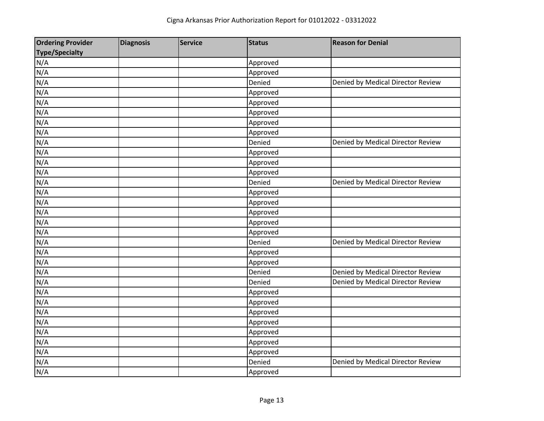| <b>Ordering Provider</b> | <b>Diagnosis</b> | <b>Service</b> | <b>Status</b> | <b>Reason for Denial</b>          |
|--------------------------|------------------|----------------|---------------|-----------------------------------|
| <b>Type/Specialty</b>    |                  |                |               |                                   |
| N/A                      |                  |                | Approved      |                                   |
| N/A                      |                  |                | Approved      |                                   |
| N/A                      |                  |                | Denied        | Denied by Medical Director Review |
| N/A                      |                  |                | Approved      |                                   |
| N/A                      |                  |                | Approved      |                                   |
| N/A                      |                  |                | Approved      |                                   |
| N/A                      |                  |                | Approved      |                                   |
| N/A                      |                  |                | Approved      |                                   |
| N/A                      |                  |                | Denied        | Denied by Medical Director Review |
| N/A                      |                  |                | Approved      |                                   |
| N/A                      |                  |                | Approved      |                                   |
| N/A                      |                  |                | Approved      |                                   |
| N/A                      |                  |                | Denied        | Denied by Medical Director Review |
| N/A                      |                  |                | Approved      |                                   |
| N/A                      |                  |                | Approved      |                                   |
| N/A                      |                  |                | Approved      |                                   |
| N/A                      |                  |                | Approved      |                                   |
| N/A                      |                  |                | Approved      |                                   |
| N/A                      |                  |                | Denied        | Denied by Medical Director Review |
| N/A                      |                  |                | Approved      |                                   |
| N/A                      |                  |                | Approved      |                                   |
| N/A                      |                  |                | Denied        | Denied by Medical Director Review |
| N/A                      |                  |                | Denied        | Denied by Medical Director Review |
| N/A                      |                  |                | Approved      |                                   |
| N/A                      |                  |                | Approved      |                                   |
| N/A                      |                  |                | Approved      |                                   |
| N/A                      |                  |                | Approved      |                                   |
| N/A                      |                  |                | Approved      |                                   |
| N/A                      |                  |                | Approved      |                                   |
| N/A                      |                  |                | Approved      |                                   |
| N/A                      |                  |                | Denied        | Denied by Medical Director Review |
| N/A                      |                  |                | Approved      |                                   |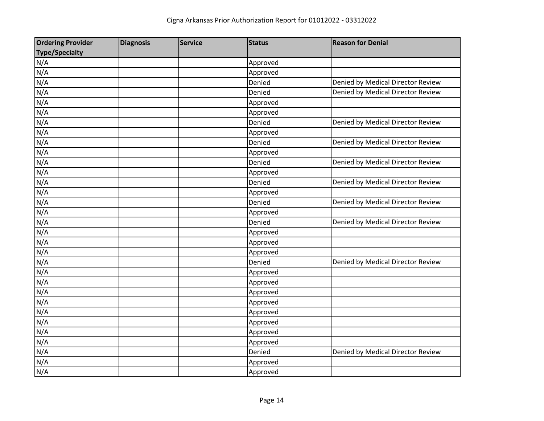| <b>Ordering Provider</b> | <b>Diagnosis</b> | <b>Service</b> | <b>Status</b> | <b>Reason for Denial</b>          |
|--------------------------|------------------|----------------|---------------|-----------------------------------|
| <b>Type/Specialty</b>    |                  |                |               |                                   |
| N/A                      |                  |                | Approved      |                                   |
| N/A                      |                  |                | Approved      |                                   |
| N/A                      |                  |                | Denied        | Denied by Medical Director Review |
| N/A                      |                  |                | Denied        | Denied by Medical Director Review |
| N/A                      |                  |                | Approved      |                                   |
| N/A                      |                  |                | Approved      |                                   |
| N/A                      |                  |                | Denied        | Denied by Medical Director Review |
| N/A                      |                  |                | Approved      |                                   |
| N/A                      |                  |                | Denied        | Denied by Medical Director Review |
| N/A                      |                  |                | Approved      |                                   |
| N/A                      |                  |                | Denied        | Denied by Medical Director Review |
| N/A                      |                  |                | Approved      |                                   |
| N/A                      |                  |                | Denied        | Denied by Medical Director Review |
| N/A                      |                  |                | Approved      |                                   |
| N/A                      |                  |                | Denied        | Denied by Medical Director Review |
| N/A                      |                  |                | Approved      |                                   |
| N/A                      |                  |                | Denied        | Denied by Medical Director Review |
| N/A                      |                  |                | Approved      |                                   |
| N/A                      |                  |                | Approved      |                                   |
| N/A                      |                  |                | Approved      |                                   |
| N/A                      |                  |                | Denied        | Denied by Medical Director Review |
| N/A                      |                  |                | Approved      |                                   |
| N/A                      |                  |                | Approved      |                                   |
| N/A                      |                  |                | Approved      |                                   |
| N/A                      |                  |                | Approved      |                                   |
| N/A                      |                  |                | Approved      |                                   |
| N/A                      |                  |                | Approved      |                                   |
| N/A                      |                  |                | Approved      |                                   |
| N/A                      |                  |                | Approved      |                                   |
| N/A                      |                  |                | Denied        | Denied by Medical Director Review |
| N/A                      |                  |                | Approved      |                                   |
| N/A                      |                  |                | Approved      |                                   |